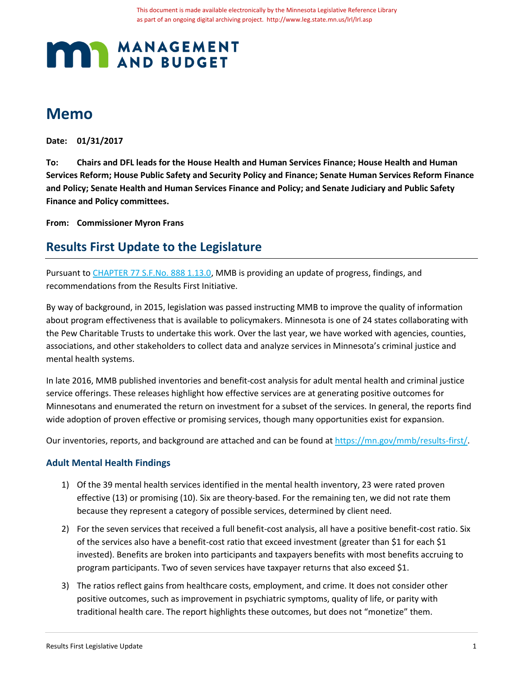# **MANAGEMENT**

# **Memo**

**Date: 01/31/2017**

**To: Chairs and DFL leads for the House Health and Human Services Finance; House Health and Human Services Reform; House Public Safety and Security Policy and Finance; Senate Human Services Reform Finance and Policy; Senate Health and Human Services Finance and Policy; and Senate Judiciary and Public Safety Finance and Policy committees.** 

**From: Commissioner Myron Frans**

# **Results First Update to the Legislature**

Pursuant t[o CHAPTER 77 S.F.No. 888 1.13.0,](https://www.revisor.mn.gov/laws/?id=77&doctype=Chapter&year=2015&type=0#laws.1.13.0) MMB is providing an update of progress, findings, and recommendations from the Results First Initiative.

By way of background, in 2015, legislation was passed instructing MMB to improve the quality of information about program effectiveness that is available to policymakers. Minnesota is one of 24 states collaborating with the Pew Charitable Trusts to undertake this work. Over the last year, we have worked with agencies, counties, associations, and other stakeholders to collect data and analyze services in Minnesota's criminal justice and mental health systems.

In late 2016, MMB published inventories and benefit-cost analysis for adult mental health and criminal justice service offerings. These releases highlight how effective services are at generating positive outcomes for Minnesotans and enumerated the return on investment for a subset of the services. In general, the reports find wide adoption of proven effective or promising services, though many opportunities exist for expansion.

Our inventories, reports, and background are attached and can be found at [https://mn.gov/mmb/results-first/.](https://mn.gov/mmb/results-first/)

### **Adult Mental Health Findings**

- 1) Of the 39 mental health services identified in the mental health inventory, 23 were rated proven effective (13) or promising (10). Six are theory-based. For the remaining ten, we did not rate them because they represent a category of possible services, determined by client need.
- 2) For the seven services that received a full benefit-cost analysis, all have a positive benefit-cost ratio. Six of the services also have a benefit-cost ratio that exceed investment (greater than \$1 for each \$1 invested). Benefits are broken into participants and taxpayers benefits with most benefits accruing to program participants. Two of seven services have taxpayer returns that also exceed \$1.
- 3) The ratios reflect gains from healthcare costs, employment, and crime. It does not consider other positive outcomes, such as improvement in psychiatric symptoms, quality of life, or parity with traditional health care. The report highlights these outcomes, but does not "monetize" them.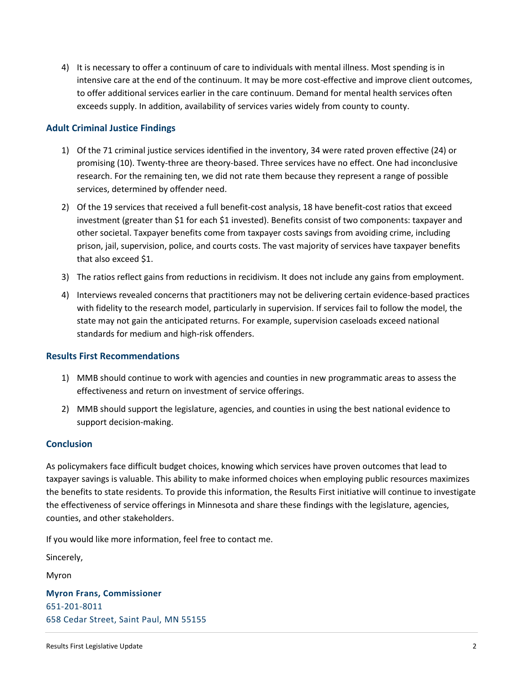4) It is necessary to offer a continuum of care to individuals with mental illness. Most spending is in intensive care at the end of the continuum. It may be more cost-effective and improve client outcomes, to offer additional services earlier in the care continuum. Demand for mental health services often exceeds supply. In addition, availability of services varies widely from county to county.

### **Adult Criminal Justice Findings**

- 1) Of the 71 criminal justice services identified in the inventory, 34 were rated proven effective (24) or promising (10). Twenty-three are theory-based. Three services have no effect. One had inconclusive research. For the remaining ten, we did not rate them because they represent a range of possible services, determined by offender need.
- 2) Of the 19 services that received a full benefit-cost analysis, 18 have benefit-cost ratios that exceed investment (greater than \$1 for each \$1 invested). Benefits consist of two components: taxpayer and other societal. Taxpayer benefits come from taxpayer costs savings from avoiding crime, including prison, jail, supervision, police, and courts costs. The vast majority of services have taxpayer benefits that also exceed \$1.
- 3) The ratios reflect gains from reductions in recidivism. It does not include any gains from employment.
- 4) Interviews revealed concerns that practitioners may not be delivering certain evidence-based practices with fidelity to the research model, particularly in supervision. If services fail to follow the model, the state may not gain the anticipated returns. For example, supervision caseloads exceed national standards for medium and high-risk offenders.

### **Results First Recommendations**

- 1) MMB should continue to work with agencies and counties in new programmatic areas to assess the effectiveness and return on investment of service offerings.
- 2) MMB should support the legislature, agencies, and counties in using the best national evidence to support decision-making.

### **Conclusion**

As policymakers face difficult budget choices, knowing which services have proven outcomes that lead to taxpayer savings is valuable. This ability to make informed choices when employing public resources maximizes the benefits to state residents. To provide this information, the Results First initiative will continue to investigate the effectiveness of service offerings in Minnesota and share these findings with the legislature, agencies, counties, and other stakeholders.

If you would like more information, feel free to contact me.

Sincerely,

Myron

**Myron Frans, Commissioner** 651-201-8011 658 Cedar Street, Saint Paul, MN 55155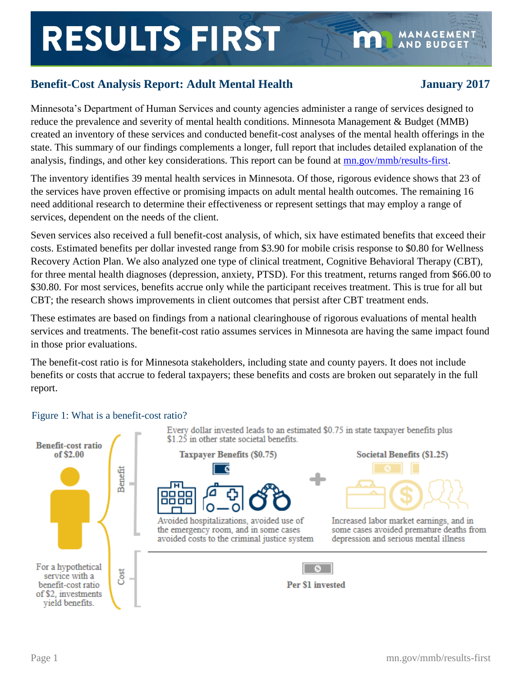# **RESULTS FIRST**

# **Benefit-Cost Analysis Report: Adult Mental Health January 2017**

**MANAGEMEN1** 

**AND BUDGET** 

1881

Minnesota's Department of Human Services and county agencies administer a range of services designed to reduce the prevalence and severity of mental health conditions. Minnesota Management & Budget (MMB) created an inventory of these services and conducted benefit-cost analyses of the mental health offerings in the state. This summary of our findings complements a longer, full report that includes detailed explanation of the analysis, findings, and other key considerations. This report can be found at [mn.gov/mmb/results-first.](https://stage.wcm.mnit.mn.gov/mmb/results-first/index.jsp)

The inventory identifies 39 mental health services in Minnesota. Of those, rigorous evidence shows that 23 of the services have proven effective or promising impacts on adult mental health outcomes. The remaining 16 need additional research to determine their effectiveness or represent settings that may employ a range of services, dependent on the needs of the client.

Seven services also received a full benefit-cost analysis, of which, six have estimated benefits that exceed their costs. Estimated benefits per dollar invested range from \$3.90 for mobile crisis response to \$0.80 for Wellness Recovery Action Plan. We also analyzed one type of clinical treatment, Cognitive Behavioral Therapy (CBT), for three mental health diagnoses (depression, anxiety, PTSD). For this treatment, returns ranged from \$66.00 to \$30.80. For most services, benefits accrue only while the participant receives treatment. This is true for all but CBT; the research shows improvements in client outcomes that persist after CBT treatment ends.

These estimates are based on findings from a national clearinghouse of rigorous evaluations of mental health services and treatments. The benefit-cost ratio assumes services in Minnesota are having the same impact found in those prior evaluations.

The benefit-cost ratio is for Minnesota stakeholders, including state and county payers. It does not include benefits or costs that accrue to federal taxpayers; these benefits and costs are broken out separately in the full report.



# Figure 1: What is a benefit-cost ratio?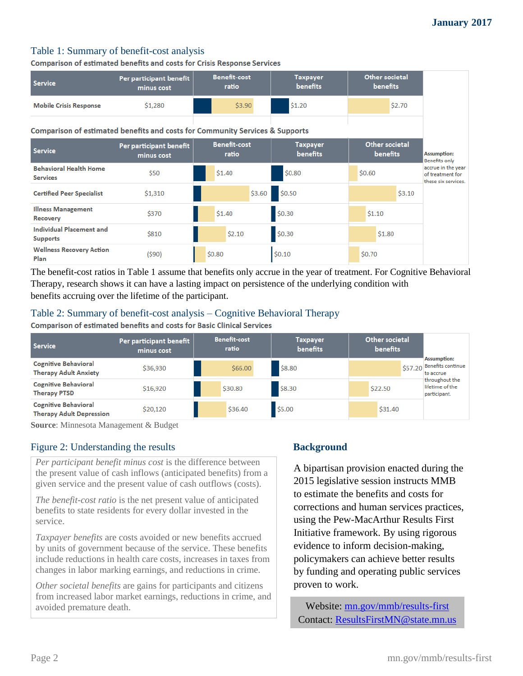# Table 1: Summary of benefit-cost analysis

**Comparison of estimated benefits and costs for Crisis Response Services** 

| <b>Service</b>                                                               | Per participant benefit<br>minus cost | <b>Benefit-cost</b><br>ratio | <b>Taxpayer</b><br><b>benefits</b> | <b>Other societal</b><br><b>benefits</b> |                                                               |  |  |
|------------------------------------------------------------------------------|---------------------------------------|------------------------------|------------------------------------|------------------------------------------|---------------------------------------------------------------|--|--|
| <b>Mobile Crisis Response</b>                                                | \$1,280                               | \$3.90                       | \$1.20                             | \$2.70                                   |                                                               |  |  |
| Comparison of estimated benefits and costs for Community Services & Supports |                                       |                              |                                    |                                          |                                                               |  |  |
| <b>Service</b>                                                               | Per participant benefit<br>minus cost | <b>Benefit-cost</b><br>ratio | <b>Taxpayer</b><br><b>benefits</b> | Other societal<br><b>benefits</b>        | <b>Assumption:</b><br><b>Benefits only</b>                    |  |  |
| <b>Behavioral Health Home</b><br><b>Services</b>                             | \$50                                  | \$1.40                       | \$0.80                             | \$0.60                                   | accrue in the year<br>of treatment for<br>these six services. |  |  |
| <b>Certified Peer Specialist</b>                                             | \$1,310                               | \$3.60                       | \$0.50                             | \$3.10                                   |                                                               |  |  |
| <b>Illness Management</b><br>Recovery                                        | \$370                                 | \$1.40                       | \$0.30                             | \$1.10                                   |                                                               |  |  |
| <b>Individual Placement and</b><br><b>Supports</b>                           | \$810                                 | \$2.10                       | \$0.30                             | \$1.80                                   |                                                               |  |  |
| <b>Wellness Recovery Action</b><br>Plan                                      | (590)                                 | \$0.80                       | \$0.10                             | \$0.70                                   |                                                               |  |  |

The benefit-cost ratios in Table 1 assume that benefits only accrue in the year of treatment. For Cognitive Behavioral Therapy, research shows it can have a lasting impact on persistence of the underlying condition with benefits accruing over the lifetime of the participant.

# Table 2: Summary of benefit-cost analysis – Cognitive Behavioral Therapy

**Comparison of estimated benefits and costs for Basic Clinical Services** 

| <b>Service</b>                                                 | Per participant benefit<br>minus cost | <b>Benefit-cost</b><br>ratio | <b>Taxpayer</b><br><b>benefits</b> | Other societal<br><b>benefits</b> |                                                                |
|----------------------------------------------------------------|---------------------------------------|------------------------------|------------------------------------|-----------------------------------|----------------------------------------------------------------|
| <b>Cognitive Behavioral</b><br><b>Therapy Adult Anxiety</b>    | \$36,930                              | \$66.00                      | \$8.80                             |                                   | <b>Assumption:</b><br>$$57.20$ Benefits continue.<br>to accrue |
| <b>Cognitive Behavioral</b><br><b>Therapy PTSD</b>             | \$16,920                              | \$30.80                      | \$8.30                             | \$22.50                           | throughout the<br>lifetime of the<br>participant.              |
| <b>Cognitive Behavioral</b><br><b>Therapy Adult Depression</b> | \$20,120                              | \$36.40                      | \$5.00                             | \$31.40                           |                                                                |

**Source**: Minnesota Management & Budget

# Figure 2: Understanding the results **Background**

*Per participant benefit minus cost* is the difference between the present value of cash inflows (anticipated benefits) from a given service and the present value of cash outflows (costs).

*The benefit-cost ratio* is the net present value of anticipated benefits to state residents for every dollar invested in the service.

*Taxpayer benefits* are costs avoided or new benefits accrued by units of government because of the service. These benefits include reductions in health care costs, increases in taxes from changes in labor marking earnings, and reductions in crime.

*Other societal benefits* are gains for participants and citizens from increased labor market earnings, reductions in crime, and avoided premature death.

A bipartisan provision enacted during the 2015 legislative session instructs MMB to estimate the benefits and costs for corrections and human services practices, using the Pew-MacArthur Results First Initiative framework. By using rigorous evidence to inform decision-making, policymakers can achieve better results by funding and operating public services proven to work.

Website: [mn.gov/mmb/results-first](https://mn.gov/mmb/results-first/)  Contact: [ResultsFirstMN@state.mn.us](mailto:ResultsFirstMN@state.mn.us)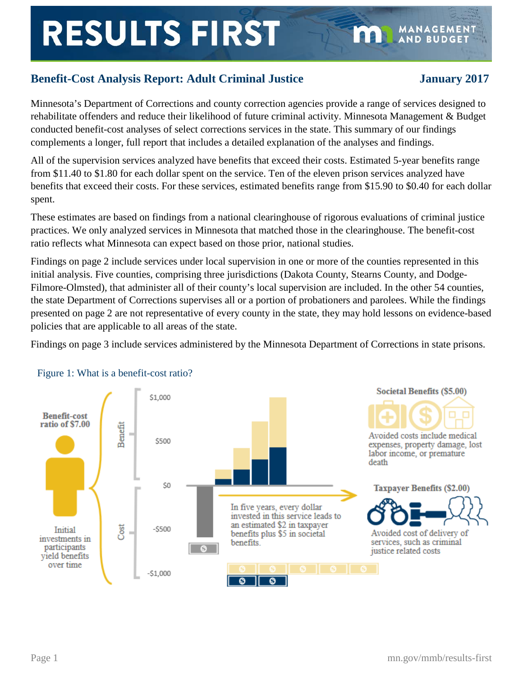# **RESULTS FIRST**

**MANAGEMENT AND BUDGET** 

Minnesota's Department of Corrections and county correction agencies provide a range of services designed to rehabilitate offenders and reduce their likelihood of future criminal activity. Minnesota Management & Budget conducted benefit-cost analyses of select corrections services in the state. This summary of our findings complements a longer, full report that includes a detailed explanation of the analyses and findings.

All of the supervision services analyzed have benefits that exceed their costs. Estimated 5-year benefits range from \$11.40 to \$1.80 for each dollar spent on the service. Ten of the eleven prison services analyzed have benefits that exceed their costs. For these services, estimated benefits range from \$15.90 to \$0.40 for each dollar spent.

These estimates are based on findings from a national clearinghouse of rigorous evaluations of criminal justice practices. We only analyzed services in Minnesota that matched those in the clearinghouse. The benefit-cost ratio reflects what Minnesota can expect based on those prior, national studies.

Findings on page 2 include services under local supervision in one or more of the counties represented in this initial analysis. Five counties, comprising three jurisdictions (Dakota County, Stearns County, and Dodge-Filmore-Olmsted), that administer all of their county's local supervision are included. In the other 54 counties, the state Department of Corrections supervises all or a portion of probationers and parolees. While the findings presented on page 2 are not representative of every county in the state, they may hold lessons on evidence-based policies that are applicable to all areas of the state.

Findings on page 3 include services administered by the Minnesota Department of Corrections in state prisons.



# Figure 1: What is a benefit-cost ratio?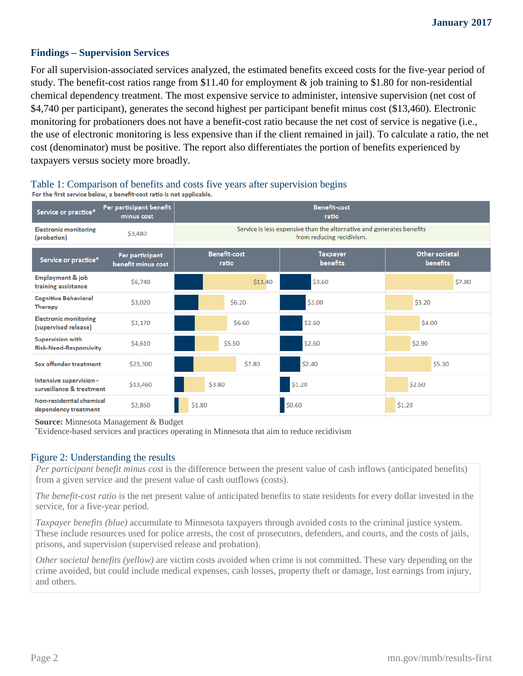## **Findings – Supervision Services**

For all supervision-associated services analyzed, the estimated benefits exceed costs for the five-year period of study. The benefit-cost ratios range from \$11.40 for employment & job training to \$1.80 for non-residential chemical dependency treatment. The most expensive service to administer, intensive supervision (net cost of \$4,740 per participant), generates the second highest per participant benefit minus cost (\$13,460). Electronic monitoring for probationers does not have a benefit-cost ratio because the net cost of service is negative (i.e., the use of electronic monitoring is less expensive than if the client remained in jail). To calculate a ratio, the net cost (denominator) must be positive. The report also differentiates the portion of benefits experienced by taxpayers versus society more broadly.

### Per participant benefit **Benefit-cost** Service or practice\* minus cost ratio Service is less expensive than the alternative and generates benefits **Electronic monitoring** \$3,480 (probation) from reducing recidivism. Benefit-cost Other societal Per participant **Taxpayer** Service or practice\* ratio benefits benefits benefit minus cost **Employment & job** \$6,740 \$11.40 \$3.60 \$7.80 training assistance **Cognitive Behavioral**  $$6.20$ \$3.00 \$3.20 \$3,020 **Therapy Electronic monitoring** \$2,170 \$6.60 \$2.60 \$4.00 (supervised release) **Supervision with** \$5.50 \$2.60 \$2.90 \$4.610 **Risk-Need-Responsivity** \$7.80 \$2.40 \$5.30 **Sex offender treatment** \$23.300 Intensive supervision -\$3.80  $$1.20$ \$2.60 \$13.460 surveillance & treatment Non-residential chemical  $$1.80$  $$0.60$  $$1.20$ \$2,860 dependency treatment

# Table 1: Comparison of benefits and costs five years after supervision begins For the first service below, a benefit-cost ratio is not applicable.

 **Source:** Minnesota Management & Budget \*

Evidence-based services and practices operating in Minnesota that aim to reduce recidivism

### Figure 2: Understanding the results

*Per participant benefit minus cost* is the difference between the present value of cash inflows (anticipated benefits) from a given service and the present value of cash outflows (costs).

*The benefit-cost ratio* is the net present value of anticipated benefits to state residents for every dollar invested in the service, for a five-year period.

*Taxpayer benefits (blue)* accumulate to Minnesota taxpayers through avoided costs to the criminal justice system. These include resources used for police arrests, the cost of prosecutors, defenders, and courts, and the costs of jails, prisons, and supervision (supervised release and probation).

*Other societal benefits (yellow)* are victim costs avoided when crime is not committed. These vary depending on the crime avoided, but could include medical expenses, cash losses, property theft or damage, lost earnings from injury, and others.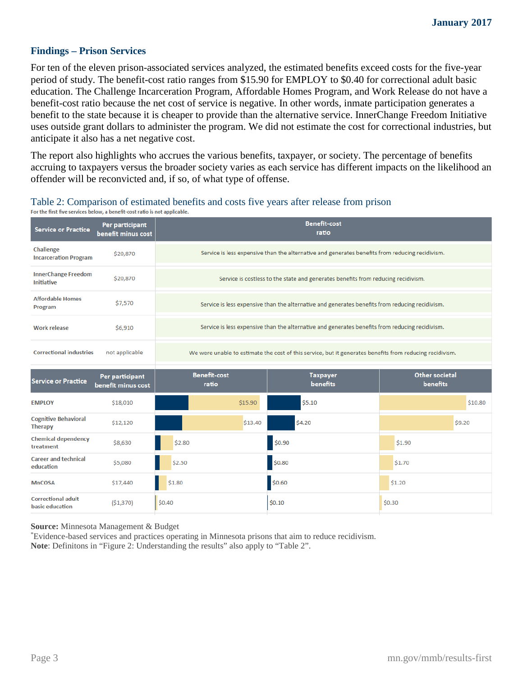## **Findings – Prison Services**

For ten of the eleven prison-associated services analyzed, the estimated benefits exceed costs for the five-year period of study. The benefit-cost ratio ranges from \$15.90 for EMPLOY to \$0.40 for correctional adult basic education. The Challenge Incarceration Program, Affordable Homes Program, and Work Release do not have a benefit-cost ratio because the net cost of service is negative. In other words, inmate participation generates a benefit to the state because it is cheaper to provide than the alternative service. InnerChange Freedom Initiative uses outside grant dollars to administer the program. We did not estimate the cost for correctional industries, but anticipate it also has a net negative cost.

The report also highlights who accrues the various benefits, taxpayer, or society. The percentage of benefits accruing to taxpayers versus the broader society varies as each service has different impacts on the likelihood an offender will be reconvicted and, if so, of what type of offense.

# Table 2: Comparison of estimated benefits and costs five years after release from prison For the first five services below, a benefit-cost ratio is not applicable.

| <b>Service or Practice</b>                      | Per participant<br>benefit minus cost | <b>Benefit-cost</b><br>ratio                                                                             |                              |                             |                                   |  |  |
|-------------------------------------------------|---------------------------------------|----------------------------------------------------------------------------------------------------------|------------------------------|-----------------------------|-----------------------------------|--|--|
| Challenge<br><b>Incarceration Program</b>       | \$20,870                              | Service is less expensive than the alternative and generates benefits from reducing recidivism.          |                              |                             |                                   |  |  |
| <b>InnerChange Freedom</b><br><b>Initiative</b> | \$20,870                              | Service is costless to the state and generates benefits from reducing recidivism.                        |                              |                             |                                   |  |  |
| <b>Affordable Homes</b><br>Program              | \$7,570                               | Service is less expensive than the alternative and generates benefits from reducing recidivism.          |                              |                             |                                   |  |  |
| <b>Work release</b>                             | \$6,910                               | Service is less expensive than the alternative and generates benefits from reducing recidivism.          |                              |                             |                                   |  |  |
| <b>Correctional industries</b>                  | not applicable                        | We were unable to estimate the cost of this service, but it generates benefits from reducing recidivism. |                              |                             |                                   |  |  |
| <b>Service or Practice</b>                      | Per participant<br>benefit minus cost |                                                                                                          | <b>Benefit-cost</b><br>ratio | <b>Taxpayer</b><br>benefits | <b>Other societal</b><br>benefits |  |  |
| <b>EMPLOY</b>                                   | \$18,010                              |                                                                                                          | \$15.90                      | \$5.10                      | \$10.80                           |  |  |
| <b>Cognitive Behavioral</b><br><b>Therapy</b>   | \$12,120                              |                                                                                                          | \$13.40                      | \$4.20                      | \$9.20                            |  |  |
| <b>Chemical dependency</b><br>treatment         | \$8,630                               | \$2.80                                                                                                   |                              | \$0.90                      | \$1.90                            |  |  |
| <b>Career and technical</b><br>education        | \$5,080                               | \$2.50                                                                                                   |                              | \$0.80                      | \$1.70                            |  |  |
| <b>MnCOSA</b>                                   | \$17,440                              | \$1.80                                                                                                   |                              | \$0.60                      | \$1.20                            |  |  |
| <b>Correctional adult</b><br>basic education    | (\$1,370)                             | \$0.40                                                                                                   |                              | \$0.10                      | \$0.30                            |  |  |

**Source:** Minnesota Management & Budget

\* Evidence-based services and practices operating in Minnesota prisons that aim to reduce recidivism. **Note**: Definitons in "Figure 2: Understanding the results" also apply to "Table 2".